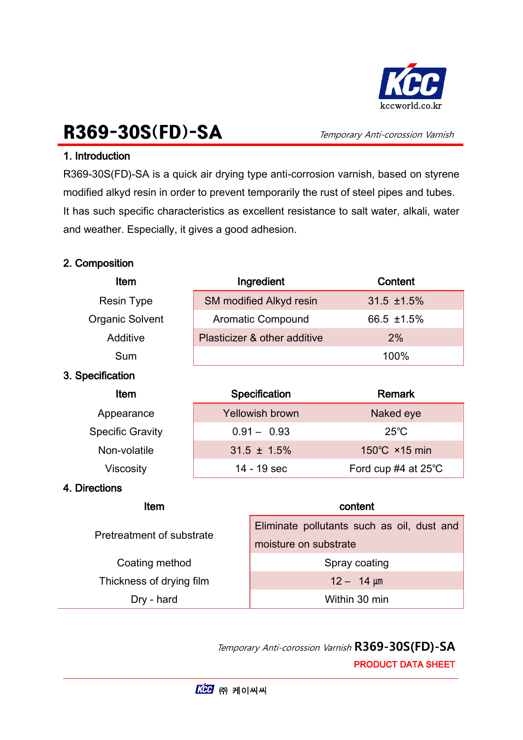

R369-30S(FD)-SA Temporary Anti-corossion Varnish

### 1. Introduction

R369-30S(FD)-SA is a quick air drying type anti-corrosion varnish, based on styrene modified alkyd resin in order to prevent temporarily the rust of steel pipes and tubes. It has such specific characteristics as excellent resistance to salt water, alkali, water and weather. Especially, it gives a good adhesion.

### 2. Composition

| Item                    | Ingredient                   | Content          |  |  |  |
|-------------------------|------------------------------|------------------|--|--|--|
| <b>Resin Type</b>       | SM modified Alkyd resin      | $31.5 \pm 1.5\%$ |  |  |  |
| <b>Organic Solvent</b>  | <b>Aromatic Compound</b>     | 66.5 ±1.5%       |  |  |  |
| Additive                | Plasticizer & other additive | 2%               |  |  |  |
| Sum                     | 100%                         |                  |  |  |  |
| 3. Specification        |                              |                  |  |  |  |
|                         |                              |                  |  |  |  |
| Item                    | Specification                | <b>Remark</b>    |  |  |  |
| Appearance              | <b>Yellowish brown</b>       | Naked eye        |  |  |  |
| <b>Specific Gravity</b> | $0.91 - 0.93$                | $25^{\circ}$ C   |  |  |  |
| Non-volatile            | $31.5 \pm 1.5\%$             | 150°C ×15 min    |  |  |  |

### 4. Directions

| Item                      | content                                                             |  |
|---------------------------|---------------------------------------------------------------------|--|
| Pretreatment of substrate | Eliminate pollutants such as oil, dust and<br>moisture on substrate |  |
| Coating method            | Spray coating                                                       |  |
| Thickness of drying film  | $12 - 14 \mu m$                                                     |  |
| Dry - hard                | Within 30 min                                                       |  |

 Temporary Anti-corossion Varnish R369-30S(FD)-SA PRODUCT DATA SHEET

L,